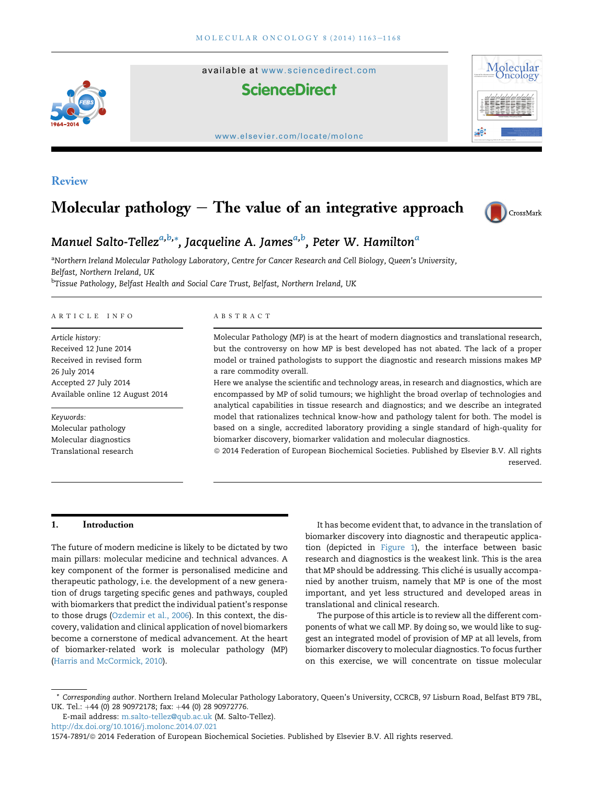

available at [www.sciencedirect.com](www.sciencedirect.com/science/journal/15747891)

# **ScienceDirect**

[www.elsevier.com/locate/molonc](http://www.elsevier.com/locate/molonc)



# Review

# Molecular pathology  $-$  The value of an integrative approach



# Manuel Salto-Tellez<sup>a,b,</sup>\*, Jacqueline A. James<sup>a,b</sup>, Peter W. Hamilton<sup>a</sup>

<sup>a</sup>Northern Ireland Molecular Pathology Laboratory, Centre for Cancer Research and Cell Biology, Queen's University, Belfast, Northern Ireland, UK <sup>b</sup>Tissue Pathology, Belfast Health and Social Care Trust, Belfast, Northern Ireland, UK

#### ARTICLE INFO

Article history: Received 12 June 2014 Received in revised form 26 July 2014 Accepted 27 July 2014 Available online 12 August 2014

Keywords: Molecular pathology Molecular diagnostics Translational research

#### ABSTRACT

Molecular Pathology (MP) is at the heart of modern diagnostics and translational research, but the controversy on how MP is best developed has not abated. The lack of a proper model or trained pathologists to support the diagnostic and research missions makes MP a rare commodity overall.

Here we analyse the scientific and technology areas, in research and diagnostics, which are encompassed by MP of solid tumours; we highlight the broad overlap of technologies and analytical capabilities in tissue research and diagnostics; and we describe an integrated model that rationalizes technical know-how and pathology talent for both. The model is based on a single, accredited laboratory providing a single standard of high-quality for biomarker discovery, biomarker validation and molecular diagnostics.

ª 2014 Federation of European Biochemical Societies. Published by Elsevier B.V. All rights reserved.

### 1. Introduction

The future of modern medicine is likely to be dictated by two main pillars: molecular medicine and technical advances. A key component of the former is personalised medicine and therapeutic pathology, i.e. the development of a new generation of drugs targeting specific genes and pathways, coupled with biomarkers that predict the individual patient's response to those drugs [\(Ozdemir et al., 2006](#page-5-0)). In this context, the discovery, validation and clinical application of novel biomarkers become a cornerstone of medical advancement. At the heart of biomarker-related work is molecular pathology (MP) [\(Harris and McCormick, 2010\)](#page-5-0).

It has become evident that, to advance in the translation of biomarker discovery into diagnostic and therapeutic application (depicted in [Figure 1\)](#page-1-0), the interface between basic research and diagnostics is the weakest link. This is the area that MP should be addressing. This cliche is usually accompa nied by another truism, namely that MP is one of the most important, and yet less structured and developed areas in translational and clinical research.

The purpose of this article is to review all the different components of what we call MP. By doing so, we would like to suggest an integrated model of provision of MP at all levels, from biomarker discovery to molecular diagnostics. To focus further on this exercise, we will concentrate on tissue molecular

<http://dx.doi.org/10.1016/j.molonc.2014.07.021>

1574-7891/© 2014 Federation of European Biochemical Societies. Published by Elsevier B.V. All rights reserved.

<sup>\*</sup> Corresponding author. Northern Ireland Molecular Pathology Laboratory, Queen's University, CCRCB, 97 Lisburn Road, Belfast BT9 7BL, UK. Tel.:  $+44$  (0) 28 90972178; fax:  $+44$  (0) 28 90972776.

E-mail address: [m.salto-tellez@qub.ac.uk](mailto:m.salto-tellez@qub.ac.uk) (M. Salto-Tellez).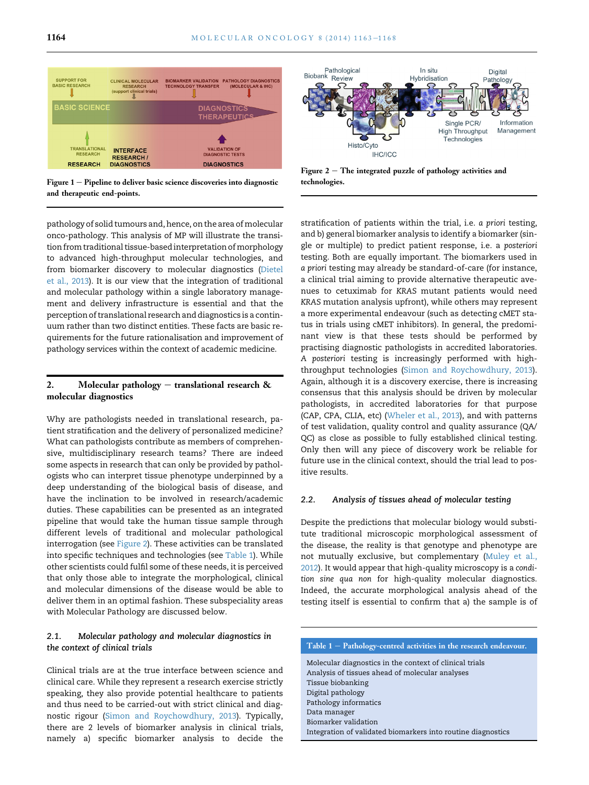<span id="page-1-0"></span>

Figure  $1$  – Pipeline to deliver basic science discoveries into diagnostic and therapeutic end-points.

pathology of solid tumours and, hence, on the area ofmolecular onco-pathology. This analysis of MP will illustrate the transition from traditional tissue-based interpretation of morphology to advanced high-throughput molecular technologies, and from biomarker discovery to molecular diagnostics ([Dietel](#page-5-0) [et al., 2013\)](#page-5-0). It is our view that the integration of traditional and molecular pathology within a single laboratory management and delivery infrastructure is essential and that the perception of translational research and diagnostics is a continuum rather than two distinct entities. These facts are basic requirements for the future rationalisation and improvement of pathology services within the context of academic medicine.

# 2. Molecular pathology  $-$  translational research & molecular diagnostics

Why are pathologists needed in translational research, patient stratification and the delivery of personalized medicine? What can pathologists contribute as members of comprehensive, multidisciplinary research teams? There are indeed some aspects in research that can only be provided by pathologists who can interpret tissue phenotype underpinned by a deep understanding of the biological basis of disease, and have the inclination to be involved in research/academic duties. These capabilities can be presented as an integrated pipeline that would take the human tissue sample through different levels of traditional and molecular pathological interrogation (see Figure 2). These activities can be translated into specific techniques and technologies (see Table 1). While other scientists could fulfil some of these needs, it is perceived that only those able to integrate the morphological, clinical and molecular dimensions of the disease would be able to deliver them in an optimal fashion. These subspeciality areas with Molecular Pathology are discussed below.

# 2.1. Molecular pathology and molecular diagnostics in the context of clinical trials

Clinical trials are at the true interface between science and clinical care. While they represent a research exercise strictly speaking, they also provide potential healthcare to patients and thus need to be carried-out with strict clinical and diagnostic rigour [\(Simon and Roychowdhury, 2013](#page-5-0)). Typically, there are 2 levels of biomarker analysis in clinical trials, namely a) specific biomarker analysis to decide the



Figure  $2-$  The integrated puzzle of pathology activities and technologies.

stratification of patients within the trial, i.e. a priori testing, and b) general biomarker analysis to identify a biomarker (single or multiple) to predict patient response, i.e. a posteriori testing. Both are equally important. The biomarkers used in a priori testing may already be standard-of-care (for instance, a clinical trial aiming to provide alternative therapeutic avenues to cetuximab for KRAS mutant patients would need KRAS mutation analysis upfront), while others may represent a more experimental endeavour (such as detecting cMET status in trials using cMET inhibitors). In general, the predominant view is that these tests should be performed by practising diagnostic pathologists in accredited laboratories. A posteriori testing is increasingly performed with highthroughput technologies [\(Simon and Roychowdhury, 2013\)](#page-5-0). Again, although it is a discovery exercise, there is increasing consensus that this analysis should be driven by molecular pathologists, in accredited laboratories for that purpose (CAP, CPA, CLIA, etc) [\(Wheler et al., 2013\)](#page-5-0), and with patterns of test validation, quality control and quality assurance (QA/ QC) as close as possible to fully established clinical testing. Only then will any piece of discovery work be reliable for future use in the clinical context, should the trial lead to positive results.

## 2.2. Analysis of tissues ahead of molecular testing

Despite the predictions that molecular biology would substitute traditional microscopic morphological assessment of the disease, the reality is that genotype and phenotype are not mutually exclusive, but complementary [\(Muley et al.,](#page-5-0) [2012\)](#page-5-0). It would appear that high-quality microscopy is a condition sine qua non for high-quality molecular diagnostics. Indeed, the accurate morphological analysis ahead of the testing itself is essential to confirm that a) the sample is of

Molecular diagnostics in the context of clinical trials Analysis of tissues ahead of molecular analyses Tissue biobanking Digital pathology Pathology informatics Data manager Biomarker validation Integration of validated biomarkers into routine diagnostics

Table  $1 -$  Pathology-centred activities in the research endeavour.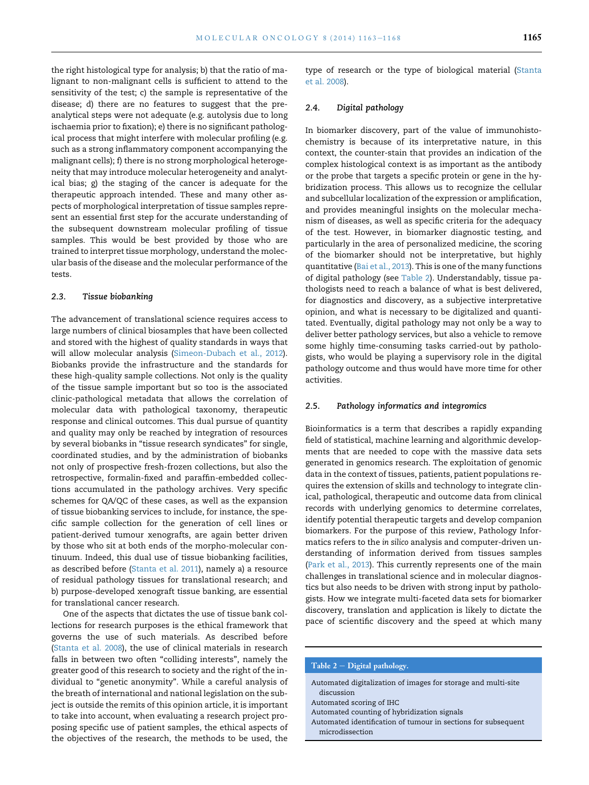the right histological type for analysis; b) that the ratio of malignant to non-malignant cells is sufficient to attend to the sensitivity of the test; c) the sample is representative of the disease; d) there are no features to suggest that the preanalytical steps were not adequate (e.g. autolysis due to long ischaemia prior to fixation); e) there is no significant pathological process that might interfere with molecular profiling (e.g. such as a strong inflammatory component accompanying the malignant cells); f) there is no strong morphological heterogeneity that may introduce molecular heterogeneity and analytical bias; g) the staging of the cancer is adequate for the therapeutic approach intended. These and many other aspects of morphological interpretation of tissue samples represent an essential first step for the accurate understanding of the subsequent downstream molecular profiling of tissue samples. This would be best provided by those who are trained to interpret tissue morphology, understand the molecular basis of the disease and the molecular performance of the tests.

### 2.3. Tissue biobanking

The advancement of translational science requires access to large numbers of clinical biosamples that have been collected and stored with the highest of quality standards in ways that will allow molecular analysis ([Simeon-Dubach et al., 2012](#page-5-0)). Biobanks provide the infrastructure and the standards for these high-quality sample collections. Not only is the quality of the tissue sample important but so too is the associated clinic-pathological metadata that allows the correlation of molecular data with pathological taxonomy, therapeutic response and clinical outcomes. This dual pursue of quantity and quality may only be reached by integration of resources by several biobanks in "tissue research syndicates" for single, coordinated studies, and by the administration of biobanks not only of prospective fresh-frozen collections, but also the retrospective, formalin-fixed and paraffin-embedded collections accumulated in the pathology archives. Very specific schemes for QA/QC of these cases, as well as the expansion of tissue biobanking services to include, for instance, the specific sample collection for the generation of cell lines or patient-derived tumour xenografts, are again better driven by those who sit at both ends of the morpho-molecular continuum. Indeed, this dual use of tissue biobanking facilities, as described before [\(Stanta et al. 2011\)](#page-5-0), namely a) a resource of residual pathology tissues for translational research; and b) purpose-developed xenograft tissue banking, are essential for translational cancer research.

One of the aspects that dictates the use of tissue bank collections for research purposes is the ethical framework that governs the use of such materials. As described before [\(Stanta et al. 2008\)](#page-5-0), the use of clinical materials in research falls in between two often "colliding interests", namely the greater good of this research to society and the right of the individual to "genetic anonymity". While a careful analysis of the breath of international and national legislation on the subject is outside the remits of this opinion article, it is important to take into account, when evaluating a research project proposing specific use of patient samples, the ethical aspects of the objectives of the research, the methods to be used, the

type of research or the type of biological material ([Stanta](#page-5-0) [et al. 2008\)](#page-5-0).

#### 2.4. Digital pathology

In biomarker discovery, part of the value of immunohistochemistry is because of its interpretative nature, in this context, the counter-stain that provides an indication of the complex histological context is as important as the antibody or the probe that targets a specific protein or gene in the hybridization process. This allows us to recognize the cellular and subcellular localization of the expression or amplification, and provides meaningful insights on the molecular mechanism of diseases, as well as specific criteria for the adequacy of the test. However, in biomarker diagnostic testing, and particularly in the area of personalized medicine, the scoring of the biomarker should not be interpretative, but highly quantitative ([Bai et al., 2013](#page-4-0)). This is one of the many functions of digital pathology (see Table 2). Understandably, tissue pathologists need to reach a balance of what is best delivered, for diagnostics and discovery, as a subjective interpretative opinion, and what is necessary to be digitalized and quantitated. Eventually, digital pathology may not only be a way to deliver better pathology services, but also a vehicle to remove some highly time-consuming tasks carried-out by pathologists, who would be playing a supervisory role in the digital pathology outcome and thus would have more time for other activities.

#### 2.5. Pathology informatics and integromics

Bioinformatics is a term that describes a rapidly expanding field of statistical, machine learning and algorithmic developments that are needed to cope with the massive data sets generated in genomics research. The exploitation of genomic data in the context of tissues, patients, patient populations requires the extension of skills and technology to integrate clinical, pathological, therapeutic and outcome data from clinical records with underlying genomics to determine correlates, identify potential therapeutic targets and develop companion biomarkers. For the purpose of this review, Pathology Informatics refers to the in silico analysis and computer-driven understanding of information derived from tissues samples [\(Park et al., 2013\)](#page-5-0). This currently represents one of the main challenges in translational science and in molecular diagnostics but also needs to be driven with strong input by pathologists. How we integrate multi-faceted data sets for biomarker discovery, translation and application is likely to dictate the pace of scientific discovery and the speed at which many

#### Table  $2 -$  Digital pathology.

- Automated digitalization of images for storage and multi-site discussion
- Automated scoring of IHC
- Automated counting of hybridization signals
- Automated identification of tumour in sections for subsequent microdissection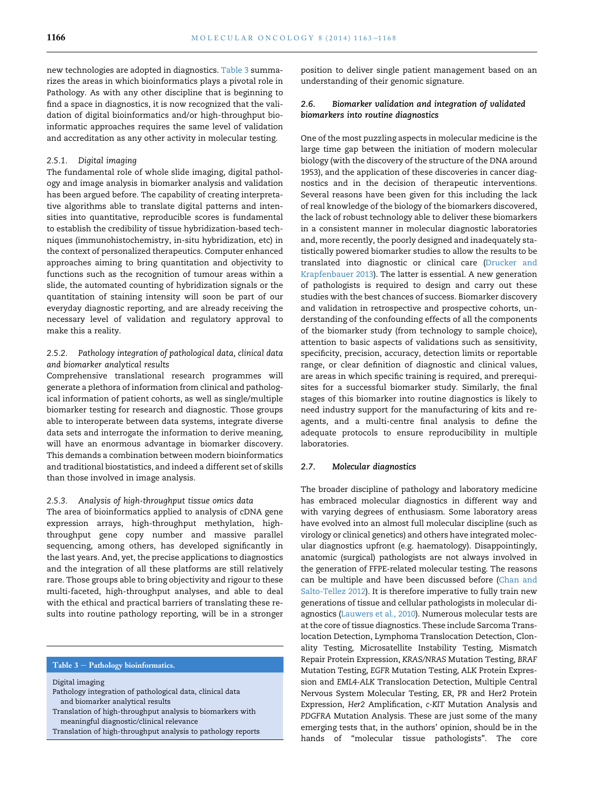new technologies are adopted in diagnostics. Table 3 summarizes the areas in which bioinformatics plays a pivotal role in Pathology. As with any other discipline that is beginning to find a space in diagnostics, it is now recognized that the validation of digital bioinformatics and/or high-throughput bioinformatic approaches requires the same level of validation and accreditation as any other activity in molecular testing.

#### 2.5.1. Digital imaging

The fundamental role of whole slide imaging, digital pathology and image analysis in biomarker analysis and validation has been argued before. The capability of creating interpretative algorithms able to translate digital patterns and intensities into quantitative, reproducible scores is fundamental to establish the credibility of tissue hybridization-based techniques (immunohistochemistry, in-situ hybridization, etc) in the context of personalized therapeutics. Computer enhanced approaches aiming to bring quantitation and objectivity to functions such as the recognition of tumour areas within a slide, the automated counting of hybridization signals or the quantitation of staining intensity will soon be part of our everyday diagnostic reporting, and are already receiving the necessary level of validation and regulatory approval to make this a reality.

### 2.5.2. Pathology integration of pathological data, clinical data and biomarker analytical results

Comprehensive translational research programmes will generate a plethora of information from clinical and pathological information of patient cohorts, as well as single/multiple biomarker testing for research and diagnostic. Those groups able to interoperate between data systems, integrate diverse data sets and interrogate the information to derive meaning, will have an enormous advantage in biomarker discovery. This demands a combination between modern bioinformatics and traditional biostatistics, and indeed a different set of skills than those involved in image analysis.

#### 2.5.3. Analysis of high-throughput tissue omics data

The area of bioinformatics applied to analysis of cDNA gene expression arrays, high-throughput methylation, highthroughput gene copy number and massive parallel sequencing, among others, has developed significantly in the last years. And, yet, the precise applications to diagnostics and the integration of all these platforms are still relatively rare. Those groups able to bring objectivity and rigour to these multi-faceted, high-throughput analyses, and able to deal with the ethical and practical barriers of translating these results into routine pathology reporting, will be in a stronger

#### Table  $3$  – Pathology bioinformatics.

Digital imaging Pathology integration of pathological data, clinical data and biomarker analytical results Translation of high-throughput analysis to biomarkers with

meaningful diagnostic/clinical relevance Translation of high-throughput analysis to pathology reports position to deliver single patient management based on an understanding of their genomic signature.

# 2.6. Biomarker validation and integration of validated biomarkers into routine diagnostics

One of the most puzzling aspects in molecular medicine is the large time gap between the initiation of modern molecular biology (with the discovery of the structure of the DNA around 1953), and the application of these discoveries in cancer diagnostics and in the decision of therapeutic interventions. Several reasons have been given for this including the lack of real knowledge of the biology of the biomarkers discovered, the lack of robust technology able to deliver these biomarkers in a consistent manner in molecular diagnostic laboratories and, more recently, the poorly designed and inadequately statistically powered biomarker studies to allow the results to be translated into diagnostic or clinical care [\(Drucker and](#page-5-0) [Krapfenbauer 2013\)](#page-5-0). The latter is essential. A new generation of pathologists is required to design and carry out these studies with the best chances of success. Biomarker discovery and validation in retrospective and prospective cohorts, understanding of the confounding effects of all the components of the biomarker study (from technology to sample choice), attention to basic aspects of validations such as sensitivity, specificity, precision, accuracy, detection limits or reportable range, or clear definition of diagnostic and clinical values, are areas in which specific training is required, and prerequisites for a successful biomarker study. Similarly, the final stages of this biomarker into routine diagnostics is likely to need industry support for the manufacturing of kits and reagents, and a multi-centre final analysis to define the adequate protocols to ensure reproducibility in multiple laboratories.

#### 2.7. Molecular diagnostics

The broader discipline of pathology and laboratory medicine has embraced molecular diagnostics in different way and with varying degrees of enthusiasm. Some laboratory areas have evolved into an almost full molecular discipline (such as virology or clinical genetics) and others have integrated molecular diagnostics upfront (e.g. haematology). Disappointingly, anatomic (surgical) pathologists are not always involved in the generation of FFPE-related molecular testing. The reasons can be multiple and have been discussed before ([Chan and](#page-5-0) [Salto-Tellez 2012\)](#page-5-0). It is therefore imperative to fully train new generations of tissue and cellular pathologists in molecular diagnostics [\(Lauwers et al., 2010](#page-5-0)). Numerous molecular tests are at the core of tissue diagnostics. These include Sarcoma Translocation Detection, Lymphoma Translocation Detection, Clonality Testing, Microsatellite Instability Testing, Mismatch Repair Protein Expression, KRAS/NRAS Mutation Testing, BRAF Mutation Testing, EGFR Mutation Testing, ALK Protein Expression and EML4-ALK Translocation Detection, Multiple Central Nervous System Molecular Testing, ER, PR and Her2 Protein Expression, Her2 Amplification, c-KIT Mutation Analysis and PDGFRA Mutation Analysis. These are just some of the many emerging tests that, in the authors' opinion, should be in the hands of "molecular tissue pathologists". The core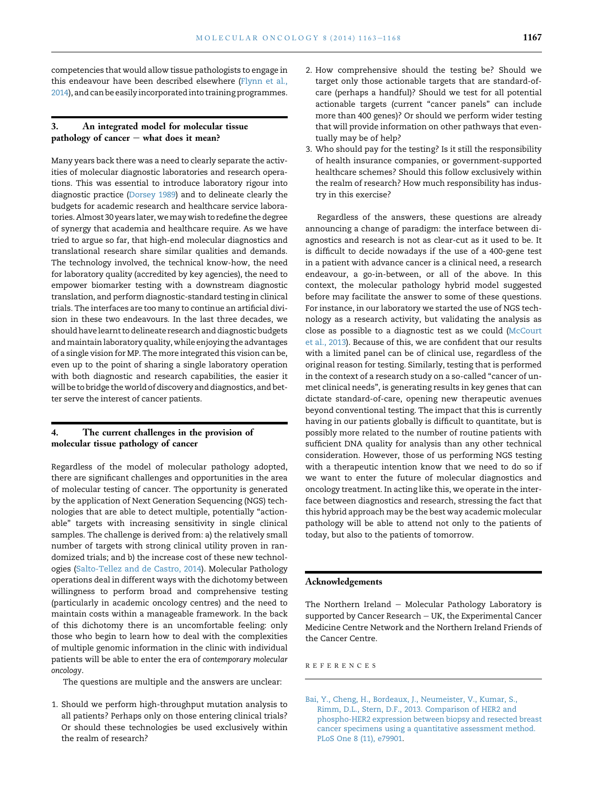<span id="page-4-0"></span>competencies that would allow tissue pathologists to engage in this endeavour have been described elsewhere ([Flynn et al.,](#page-5-0) [2014](#page-5-0)), and can be easily incorporated into training programmes.

## 3. An integrated model for molecular tissue pathology of cancer  $-$  what does it mean?

Many years back there was a need to clearly separate the activities of molecular diagnostic laboratories and research operations. This was essential to introduce laboratory rigour into diagnostic practice ([Dorsey 1989\)](#page-5-0) and to delineate clearly the budgets for academic research and healthcare service laboratories. Almost 30 years later, wemay wish to redefine the degree of synergy that academia and healthcare require. As we have tried to argue so far, that high-end molecular diagnostics and translational research share similar qualities and demands. The technology involved, the technical know-how, the need for laboratory quality (accredited by key agencies), the need to empower biomarker testing with a downstream diagnostic translation, and perform diagnostic-standard testing in clinical trials. The interfaces are too many to continue an artificial division in these two endeavours. In the last three decades, we should have learnt to delineate research and diagnostic budgets and maintain laboratory quality, while enjoying the advantages of a single vision for MP. The more integrated this vision can be, even up to the point of sharing a single laboratory operation with both diagnostic and research capabilities, the easier it will be to bridge the world of discovery and diagnostics, and better serve the interest of cancer patients.

# 4. The current challenges in the provision of molecular tissue pathology of cancer

Regardless of the model of molecular pathology adopted, there are significant challenges and opportunities in the area of molecular testing of cancer. The opportunity is generated by the application of Next Generation Sequencing (NGS) technologies that are able to detect multiple, potentially "actionable" targets with increasing sensitivity in single clinical samples. The challenge is derived from: a) the relatively small number of targets with strong clinical utility proven in randomized trials; and b) the increase cost of these new technologies [\(Salto-Tellez and de Castro, 2014\)](#page-5-0). Molecular Pathology operations deal in different ways with the dichotomy between willingness to perform broad and comprehensive testing (particularly in academic oncology centres) and the need to maintain costs within a manageable framework. In the back of this dichotomy there is an uncomfortable feeling: only those who begin to learn how to deal with the complexities of multiple genomic information in the clinic with individual patients will be able to enter the era of contemporary molecular oncology.

The questions are multiple and the answers are unclear:

1. Should we perform high-throughput mutation analysis to all patients? Perhaps only on those entering clinical trials? Or should these technologies be used exclusively within the realm of research?

- 2. How comprehensive should the testing be? Should we target only those actionable targets that are standard-ofcare (perhaps a handful)? Should we test for all potential actionable targets (current "cancer panels" can include more than 400 genes)? Or should we perform wider testing that will provide information on other pathways that eventually may be of help?
- 3. Who should pay for the testing? Is it still the responsibility of health insurance companies, or government-supported healthcare schemes? Should this follow exclusively within the realm of research? How much responsibility has industry in this exercise?

Regardless of the answers, these questions are already announcing a change of paradigm: the interface between diagnostics and research is not as clear-cut as it used to be. It is difficult to decide nowadays if the use of a 400-gene test in a patient with advance cancer is a clinical need, a research endeavour, a go-in-between, or all of the above. In this context, the molecular pathology hybrid model suggested before may facilitate the answer to some of these questions. For instance, in our laboratory we started the use of NGS technology as a research activity, but validating the analysis as close as possible to a diagnostic test as we could ([McCourt](#page-5-0) [et al., 2013](#page-5-0)). Because of this, we are confident that our results with a limited panel can be of clinical use, regardless of the original reason for testing. Similarly, testing that is performed in the context of a research study on a so-called "cancer of unmet clinical needs", is generating results in key genes that can dictate standard-of-care, opening new therapeutic avenues beyond conventional testing. The impact that this is currently having in our patients globally is difficult to quantitate, but is possibly more related to the number of routine patients with sufficient DNA quality for analysis than any other technical consideration. However, those of us performing NGS testing with a therapeutic intention know that we need to do so if we want to enter the future of molecular diagnostics and oncology treatment. In acting like this, we operate in the interface between diagnostics and research, stressing the fact that this hybrid approach may be the best way academic molecular pathology will be able to attend not only to the patients of today, but also to the patients of tomorrow.

#### Acknowledgements

The Northern Ireland  $-$  Molecular Pathology Laboratory is supported by Cancer Research  $-$  UK, the Experimental Cancer Medicine Centre Network and the Northern Ireland Friends of the Cancer Centre.

REFERENCES

[Bai, Y., Cheng, H., Bordeaux, J., Neumeister, V., Kumar, S.,](http://refhub.elsevier.com/S1574-7891(14)00176-8/sref1) [Rimm, D.L., Stern, D.F., 2013. Comparison of HER2 and](http://refhub.elsevier.com/S1574-7891(14)00176-8/sref1) [phospho-HER2 expression between biopsy and resected breast](http://refhub.elsevier.com/S1574-7891(14)00176-8/sref1) [cancer specimens using a quantitative assessment method.](http://refhub.elsevier.com/S1574-7891(14)00176-8/sref1) [PLoS One 8 \(11\), e79901.](http://refhub.elsevier.com/S1574-7891(14)00176-8/sref1)